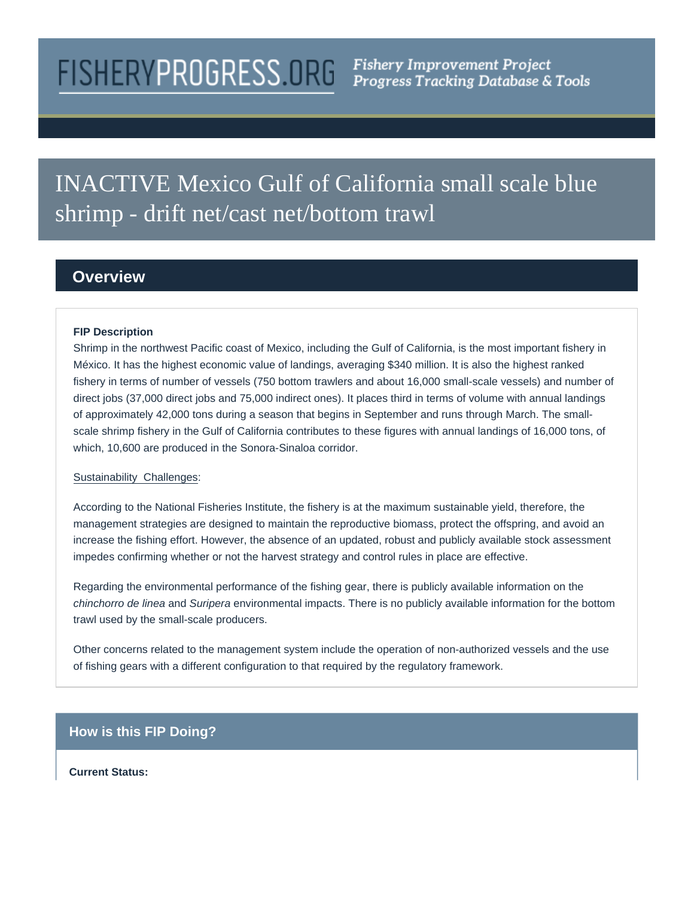# FISHERYPROGRESS.ORG Fishery Improvement Project

# INACTIVE Mexico Gulf of California small scale blue shrimp - drift net/cast net/bottom trawl

## **Overview**

#### **FIP Description**

Shrimp in the northwest Pacific coast of Mexico, including the Gulf of California, is the most important fishery in México. It has the highest economic value of landings, averaging \$340 million. It is also the highest ranked fishery in terms of number of vessels (750 bottom trawlers and about 16,000 small-scale vessels) and number of direct jobs (37,000 direct jobs and 75,000 indirect ones). It places third in terms of volume with annual landings of approximately 42,000 tons during a season that begins in September and runs through March. The smallscale shrimp fishery in the Gulf of California contributes to these figures with annual landings of 16,000 tons, of which, 10,600 are produced in the Sonora-Sinaloa corridor.

#### Sustainability Challenges:

According to the National Fisheries Institute, the fishery is at the maximum sustainable yield, therefore, the management strategies are designed to maintain the reproductive biomass, protect the offspring, and avoid an increase the fishing effort. However, the absence of an updated, robust and publicly available stock assessment impedes confirming whether or not the harvest strategy and control rules in place are effective.

Regarding the environmental performance of the fishing gear, there is publicly available information on the chinchorro de linea and Suripera environmental impacts. There is no publicly available information for the bottom trawl used by the small-scale producers.

Other concerns related to the management system include the operation of non-authorized vessels and the use of fishing gears with a different configuration to that required by the regulatory framework.

### **How is this FIP Doing?**

#### **Current Status:**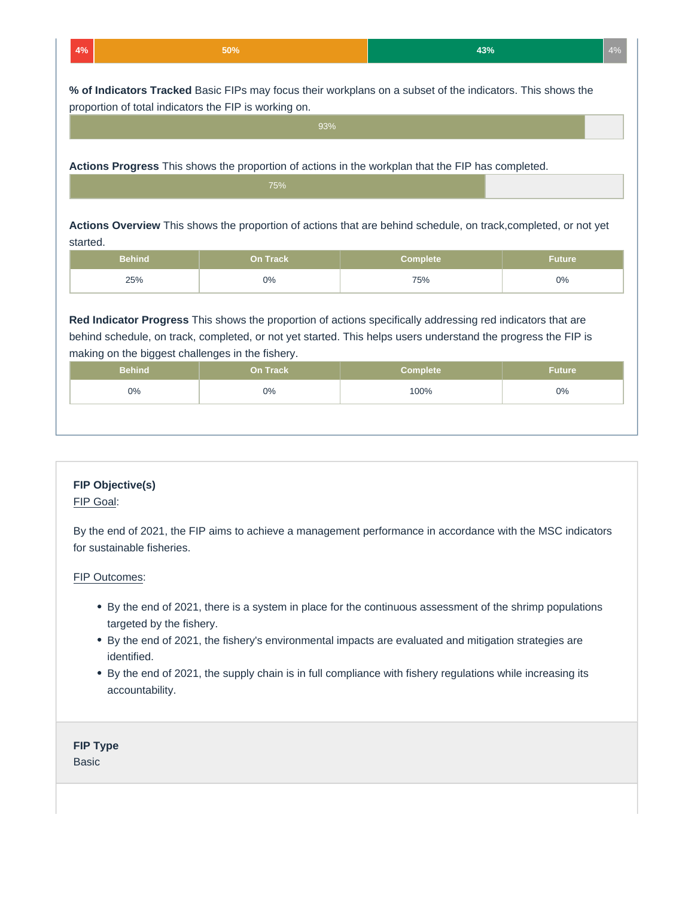| 43%<br>$A^{0}$<br>50%<br>4%<br>e su |
|-------------------------------------|
|-------------------------------------|

**% of Indicators Tracked** Basic FIPs may focus their workplans on a subset of the indicators. This shows the proportion of total indicators the FIP is working on.

| 93%                                                                                               |  |  |  |  |  |  |  |
|---------------------------------------------------------------------------------------------------|--|--|--|--|--|--|--|
| Actions Progress This shows the proportion of actions in the workplan that the FIP has completed. |  |  |  |  |  |  |  |
| 75%                                                                                               |  |  |  |  |  |  |  |

**Actions Overview** This shows the proportion of actions that are behind schedule, on track,completed, or not yet started.

| <b>Behind</b> | <b>On Track</b> | Complete | Future ' |
|---------------|-----------------|----------|----------|
| 25%           | 0%              | 75%      | 0%       |

**Red Indicator Progress** This shows the proportion of actions specifically addressing red indicators that are behind schedule, on track, completed, or not yet started. This helps users understand the progress the FIP is making on the biggest challenges in the fishery.

| <b>Behind</b> | <b>On Track</b> | <b>Complete</b> | <b>Future</b> |
|---------------|-----------------|-----------------|---------------|
| $0\%$         | $0\%$           | 100%            | $0\%$         |

#### **FIP Objective(s)**

#### FIP Goal:

By the end of 2021, the FIP aims to achieve a management performance in accordance with the MSC indicators for sustainable fisheries.

#### FIP Outcomes:

- By the end of 2021, there is a system in place for the continuous assessment of the shrimp populations targeted by the fishery.
- By the end of 2021, the fishery's environmental impacts are evaluated and mitigation strategies are identified.
- By the end of 2021, the supply chain is in full compliance with fishery regulations while increasing its accountability.

#### **FIP Type**

**Basic**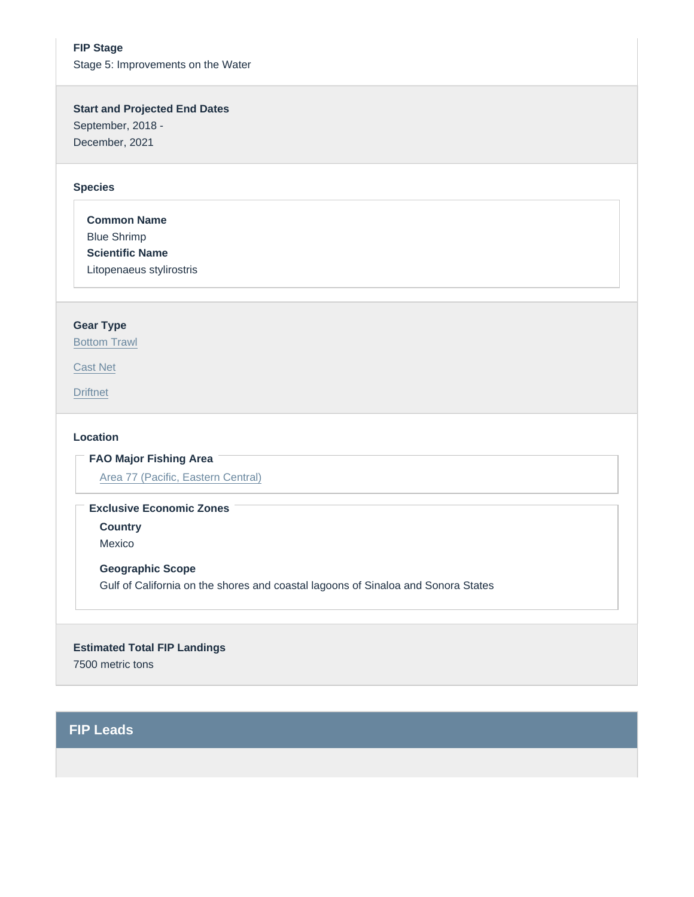FIP Stage Stage 5: Improvements on the Water

Start and Projected End Dates September, 2018 - December, 2021

#### Species

Common Name Blue Shrimp Scientific Name Litopenaeus stylirostris

#### Gear Type

[Bottom Trawl](https://fisheryprogress.org/product-and-gear-type/bottom-trawl)

[Cast Net](https://fisheryprogress.org/product-and-gear-type/cast-net)

**[Driftnet](https://fisheryprogress.org/product-and-gear-type/driftnet)** 

#### Location

FAO Major Fishing Area

[Area 77 \(Pacific, Eastern Central\)](https://fisheryprogress.org/fao-major-fishing-areas/area-77-pacific-eastern-central)

Exclusive Economic Zones

**Country** 

Mexico

Geographic Scope Gulf of California on the shores and coastal lagoons of Sinaloa and Sonora States

Estimated Total FIP Landings 7500 metric tons

FIP Leads